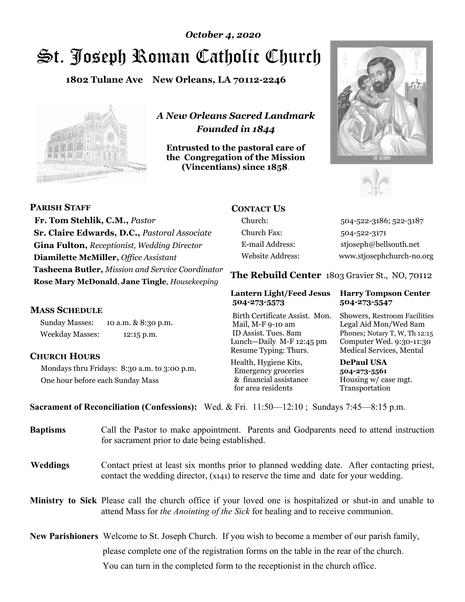# St. Joseph Roman Catholic Church *October 4, 2020*

**1802 Tulane Ave New Orleans, LA 70112-2246**



*A New Orleans Sacred Landmark Founded in 1844* 

**Entrusted to the pastoral care of the Congregation of the Mission (Vincentians) since 1858**.





**PARISH STAFF Fr. Tom Stehlik, C.M.,** *Pastor* **Sr. Claire Edwards, D.C.,** *Pastoral Associate* **Gina Fulton,** *Receptionist, Wedding Director* **Diamilette McMiller,** *Office Assistant* **Tasheena Butler,** *Mission and Service Coordinator* **Rose Mary McDonald**, **Jane Tingle**, *Housekeeping* 

### **MASS SCHEDULE**

Sunday Masses: 10 a.m. & 8:30 p.m. Weekday Masses: 12:15 p.m.

### **CHURCH HOURS**

Mondays thru Fridays: 8:30 a.m. to 3:00 p.m. One hour before each Sunday Mass

### **CONTACT US**

Church: 504-522-3186; 522-3187 Church Fax: 504-522-3171 E-mail Address: stjoseph@bellsouth.net Website Address: www.stjosephchurch-no.org

**The Rebuild Center** 1803 Gravier St., NO, 70112

### **Lantern Light/Feed Jesus Harry Tompson Center 504-273-5573 504-273-5547**

Birth Certificate Assist. Mon. Showers, Restroom Facilities Mail, M-F 9-10 am Legal Aid Mon/Wed 8am ID Assist. Tues. 8am Phones; Notary T, W, Th 12:15 Lunch—Daily M-F 12:45 pm Computer Wed. 9:30-11:30 Resume Typing: Thurs. Medical Services, Mental

Health, Hygiene Kits, **DePaul USA**  Emergency groceries **504-273-5561** & financial assistance Housing w/ case mgt.<br>for area residents Transportation for area residents

**Sacrament of Reconciliation (Confessions):** Wed. & Fri. 11:50—12:10 ; Sundays 7:45—8:15 p.m.

| <b>Baptisms</b> | Call the Pastor to make appointment. Parents and Godparents need to attend instruction<br>for sacrament prior to date being established.                                                                   |
|-----------------|------------------------------------------------------------------------------------------------------------------------------------------------------------------------------------------------------------|
| <b>Weddings</b> | Contact priest at least six months prior to planned wedding date. After contacting priest,<br>contact the wedding director, (x141) to reserve the time and date for your wedding.                          |
|                 | <b>Ministry to Sick</b> Please call the church office if your loved one is hospitalized or shut-in and unable to<br>attend Mass for <i>the Anointing of the Sick</i> for healing and to receive communion. |
|                 | New Parishioners Welcome to St. Joseph Church. If you wish to become a member of our parish family,                                                                                                        |
|                 | please complete one of the registration forms on the table in the rear of the church.                                                                                                                      |
|                 | You can turn in the completed form to the receptionist in the church office.                                                                                                                               |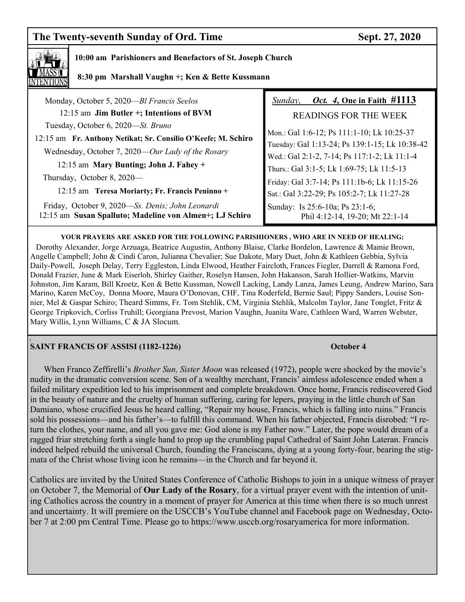## The Twenty-seventh Sunday of Ord. Time Sept. 27, 2020



### **10:00 am Parishioners and Benefactors of St. Joseph Church**

 **8:30 pm Marshall Vaughn +; Ken & Bette Kussmann**

| Monday, October 5, 2020-Bl Francis Seelos                                                                   | <i>Oct.</i> 4, One in Faith $\#1113$<br>Sunday,                    |
|-------------------------------------------------------------------------------------------------------------|--------------------------------------------------------------------|
| 12:15 am Jim Butler +; Intentions of BVM                                                                    | <b>READINGS FOR THE WEEK</b>                                       |
| Tuesday, October 6, 2020—St. Bruno                                                                          | Mon.: Gal 1:6-12; Ps 111:1-10; Lk 10:25-37                         |
| 12:15 am Fr. Anthony Netikat; Sr. Consilio O'Keefe; M. Schiro                                               | Tuesday: Gal 1:13-24; Ps 139:1-15; Lk 10:38-42                     |
| Wednesday, October 7, 2020—Our Lady of the Rosary                                                           | Wed.: Gal 2:1-2, 7-14; Ps 117:1-2; Lk 11:1-4                       |
| 12:15 am Mary Bunting; John J. Fahey +                                                                      | Thurs.: Gal 3:1-5; Lk 1:69-75; Lk 11:5-13                          |
| Thursday, October 8, 2020—                                                                                  | Friday: Gal 3:7-14; Ps 111:1b-6; Lk 11:15-26                       |
| 12:15 am Teresa Moriarty; Fr. Francis Peninno +                                                             | Sat.: Gal 3:22-29; Ps 105:2-7; Lk 11:27-28                         |
| Friday, October 9, 2020—Ss. Denis; John Leonardi<br>12:15 am Susan Spalluto; Madeline von Almen+; LJ Schiro | Sunday: Is 25:6-10a; Ps 23:1-6;<br>Phil 4:12-14, 19-20; Mt 22:1-14 |
|                                                                                                             |                                                                    |

**YOUR PRAYERS ARE ASKED FOR THE FOLLOWING PARISHIONERS , WHO ARE IN NEED OF HEALING:**  Dorothy Alexander, Jorge Arzuaga, Beatrice Augustin, Anthony Blaise, Clarke Bordelon, Lawrence & Mamie Brown, Angelle Campbell; John & Cindi Caron, Julianna Chevalier; Sue Dakote, Mary Duet, John & Kathleen Gebbia, Sylvia Daily-Powell, Joseph Delay, Terry Eggleston, Linda Elwood, Heather Faircloth, Frances Fiegler, Darrell & Ramona Ford, Donald Frazier, June & Mark Eiserloh, Shirley Gaither, Roselyn Hansen, John Hakanson, Sarah Hollier-Watkins, Marvin Johnston, Jim Karam, Bill Kroetz, Ken & Bette Kussman, Nowell Lacking, Landy Lanza, James Leung, Andrew Marino, Sara Marino, Karen McCoy, Donna Moore, Maura O'Donovan, CHF, Tina Roderfeld, Bernie Saul; Pippy Sanders, Louise Sonnier, Mel & Gaspar Schiro; Theard Simms, Fr. Tom Stehlik, CM, Virginia Stehlik, Malcolm Taylor, Jane Tonglet, Fritz & George Tripkovich, Corliss Truhill; Georgiana Prevost, Marion Vaughn, Juanita Ware, Cathleen Ward, Warren Webster,

### **( SAINT FRANCIS OF ASSISI (1182-1226) October 4**

Mary Willis, Lynn Williams, C & JA Slocum.

When Franco Zeffirelli's *Brother Sun, Sister Moon* was released (1972), people were shocked by the movie's nudity in the dramatic conversion scene. Son of a wealthy merchant, Francis' aimless adolescence ended when a failed military expedition led to his imprisonment and complete breakdown. Once home, Francis rediscovered God in the beauty of nature and the cruelty of human suffering, caring for lepers, praying in the little church of San Damiano, whose crucified Jesus he heard calling, "Repair my house, Francis, which is falling into ruins." Francis sold his possessions—and his father's—to fulfill this command. When his father objected, Francis disrobed: "I return the clothes, your name, and all you gave me: God alone is my Father now." Later, the pope would dream of a ragged friar stretching forth a single hand to prop up the crumbling papal Cathedral of Saint John Lateran. Francis indeed helped rebuild the universal Church, founding the Franciscans, dying at a young forty-four, bearing the stigmata of the Christ whose living icon he remains—in the Church and far beyond it.

Catholics are invited by the United States Conference of Catholic Bishops to join in a unique witness of prayer on October 7, the Memorial of **Our Lady of the Rosary**, for a virtual prayer event with the intention of uniting Catholics across the country in a moment of prayer for America at this time when there is so much unrest and uncertainty. It will premiere on the USCCB's YouTube channel and Facebook page on Wednesday, October 7 at 2:00 pm Central Time. Please go to https://www.usccb.org/rosaryamerica for more information.